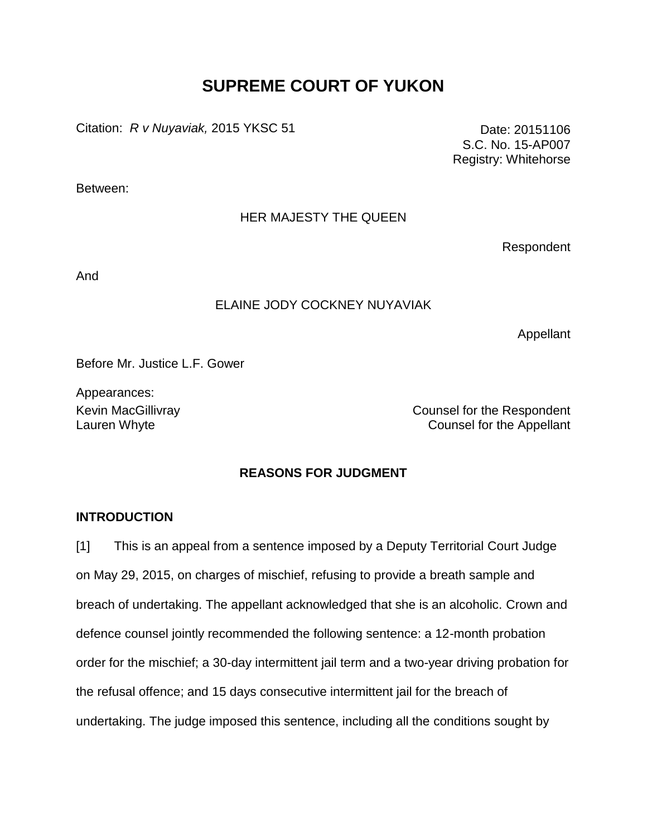# **SUPREME COURT OF YUKON**

Citation: *R v Nuyaviak,* 2015 YKSC 51 Date: 20151106

S.C. No. 15-AP007 Registry: Whitehorse

Between:

# HER MAJESTY THE QUEEN

Respondent

And

## ELAINE JODY COCKNEY NUYAVIAK

Appellant

Before Mr. Justice L.F. Gower

Appearances:

Kevin MacGillivray **Counsel for the Respondent** Lauren Whyte **Counsel for the Appellant** 

# **REASONS FOR JUDGMENT**

#### **INTRODUCTION**

[1] This is an appeal from a sentence imposed by a Deputy Territorial Court Judge on May 29, 2015, on charges of mischief, refusing to provide a breath sample and breach of undertaking. The appellant acknowledged that she is an alcoholic. Crown and defence counsel jointly recommended the following sentence: a 12-month probation order for the mischief; a 30-day intermittent jail term and a two-year driving probation for the refusal offence; and 15 days consecutive intermittent jail for the breach of undertaking. The judge imposed this sentence, including all the conditions sought by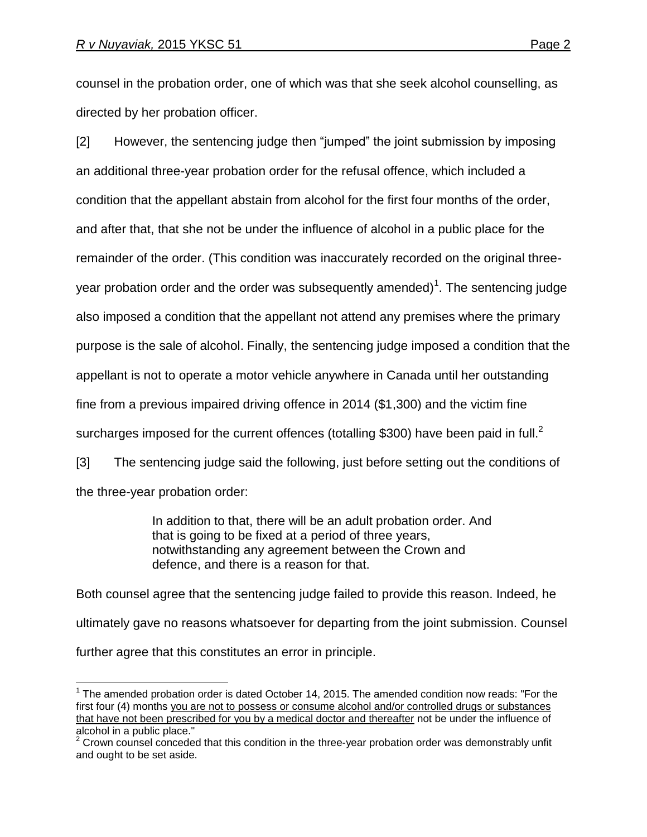$\overline{a}$ 

counsel in the probation order, one of which was that she seek alcohol counselling, as directed by her probation officer.

[2] However, the sentencing judge then "jumped" the joint submission by imposing an additional three-year probation order for the refusal offence, which included a condition that the appellant abstain from alcohol for the first four months of the order, and after that, that she not be under the influence of alcohol in a public place for the remainder of the order. (This condition was inaccurately recorded on the original threeyear probation order and the order was subsequently amended)<sup>1</sup>. The sentencing judge also imposed a condition that the appellant not attend any premises where the primary purpose is the sale of alcohol. Finally, the sentencing judge imposed a condition that the appellant is not to operate a motor vehicle anywhere in Canada until her outstanding fine from a previous impaired driving offence in 2014 (\$1,300) and the victim fine surcharges imposed for the current offences (totalling \$300) have been paid in full.<sup>2</sup>

[3] The sentencing judge said the following, just before setting out the conditions of the three-year probation order:

> In addition to that, there will be an adult probation order. And that is going to be fixed at a period of three years, notwithstanding any agreement between the Crown and defence, and there is a reason for that.

Both counsel agree that the sentencing judge failed to provide this reason. Indeed, he ultimately gave no reasons whatsoever for departing from the joint submission. Counsel further agree that this constitutes an error in principle.

 $1$  The amended probation order is dated October 14, 2015. The amended condition now reads: "For the first four (4) months you are not to possess or consume alcohol and/or controlled drugs or substances that have not been prescribed for you by a medical doctor and thereafter not be under the influence of alcohol in a public place."

 $2$  Crown counsel conceded that this condition in the three-year probation order was demonstrably unfit and ought to be set aside.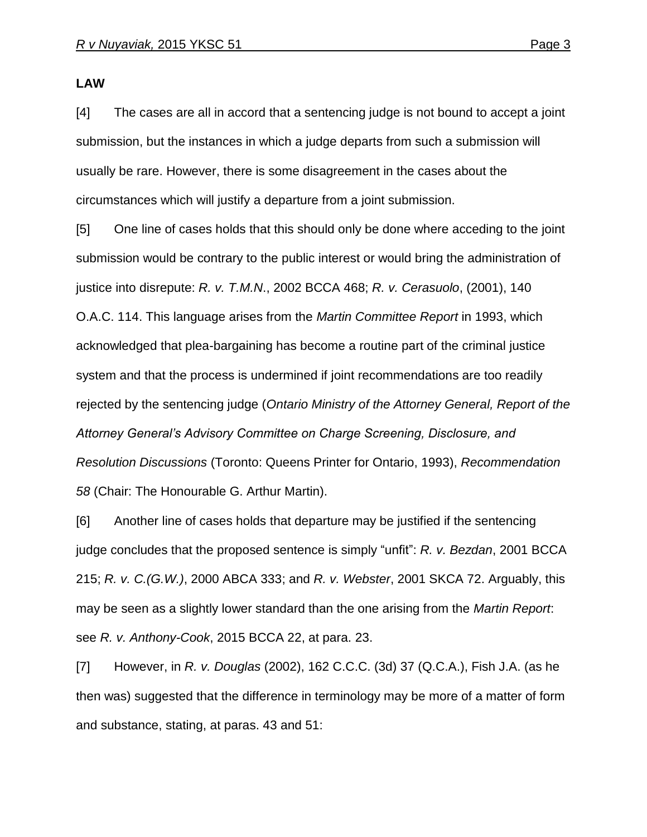**LAW**

[4] The cases are all in accord that a sentencing judge is not bound to accept a joint submission, but the instances in which a judge departs from such a submission will usually be rare. However, there is some disagreement in the cases about the circumstances which will justify a departure from a joint submission.

[5] One line of cases holds that this should only be done where acceding to the joint submission would be contrary to the public interest or would bring the administration of justice into disrepute: *R. v. T.M.N*., 2002 BCCA 468; *R. v. Cerasuolo*, (2001), 140 O.A.C. 114. This language arises from the *Martin Committee Report* in 1993, which acknowledged that plea-bargaining has become a routine part of the criminal justice system and that the process is undermined if joint recommendations are too readily rejected by the sentencing judge (*Ontario Ministry of the Attorney General, Report of the Attorney General's Advisory Committee on Charge Screening, Disclosure, and Resolution Discussions* (Toronto: Queens Printer for Ontario, 1993), *Recommendation 58* (Chair: The Honourable G. Arthur Martin).

[6] Another line of cases holds that departure may be justified if the sentencing judge concludes that the proposed sentence is simply "unfit": *R. v. Bezdan*, 2001 BCCA 215; *R. v. C.(G.W.)*, 2000 ABCA 333; and *R. v. Webster*, 2001 SKCA 72. Arguably, this may be seen as a slightly lower standard than the one arising from the *Martin Report*: see *R. v. Anthony-Cook*, 2015 BCCA 22, at para. 23.

[7] However, in *R. v. Douglas* (2002), 162 C.C.C. (3d) 37 (Q.C.A.), Fish J.A. (as he then was) suggested that the difference in terminology may be more of a matter of form and substance, stating, at paras. 43 and 51: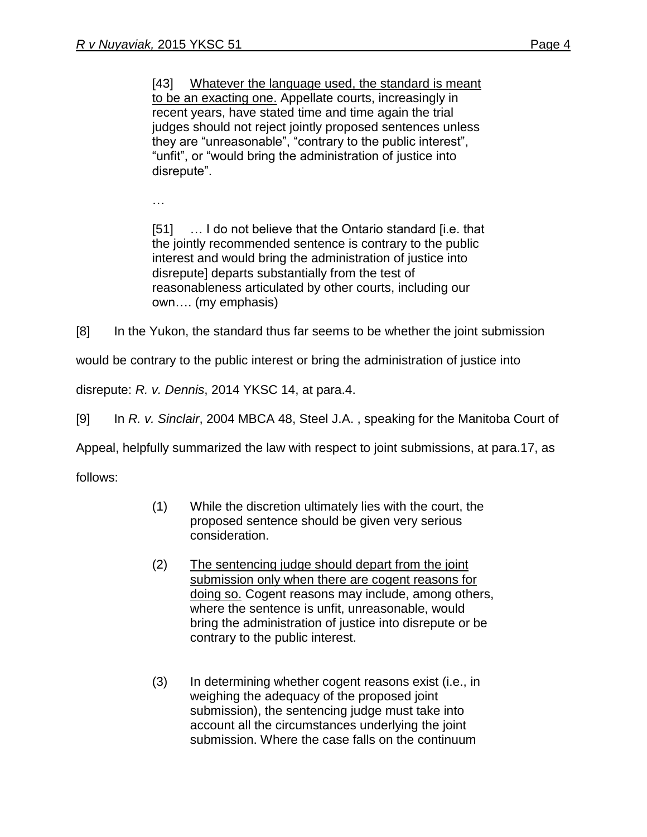[43] Whatever the language used, the standard is meant to be an exacting one. Appellate courts, increasingly in recent years, have stated time and time again the trial judges should not reject jointly proposed sentences unless they are "unreasonable", "contrary to the public interest", "unfit", or "would bring the administration of justice into disrepute".

…

[51] … I do not believe that the Ontario standard [i.e. that the jointly recommended sentence is contrary to the public interest and would bring the administration of justice into disrepute] departs substantially from the test of reasonableness articulated by other courts, including our own…. (my emphasis)

[8] In the Yukon, the standard thus far seems to be whether the joint submission

would be contrary to the public interest or bring the administration of justice into

disrepute: *R. v. Dennis*, 2014 YKSC 14, at para.4.

[9] In *R. v. Sinclair*, 2004 MBCA 48, Steel J.A. , speaking for the Manitoba Court of

Appeal, helpfully summarized the law with respect to joint submissions, at para.17, as

follows:

- (1) While the discretion ultimately lies with the court, the proposed sentence should be given very serious consideration.
- (2) The sentencing judge should depart from the joint submission only when there are cogent reasons for doing so. Cogent reasons may include, among others, where the sentence is unfit, unreasonable, would bring the administration of justice into disrepute or be contrary to the public interest.
- (3) In determining whether cogent reasons exist (i.e., in weighing the adequacy of the proposed joint submission), the sentencing judge must take into account all the circumstances underlying the joint submission. Where the case falls on the continuum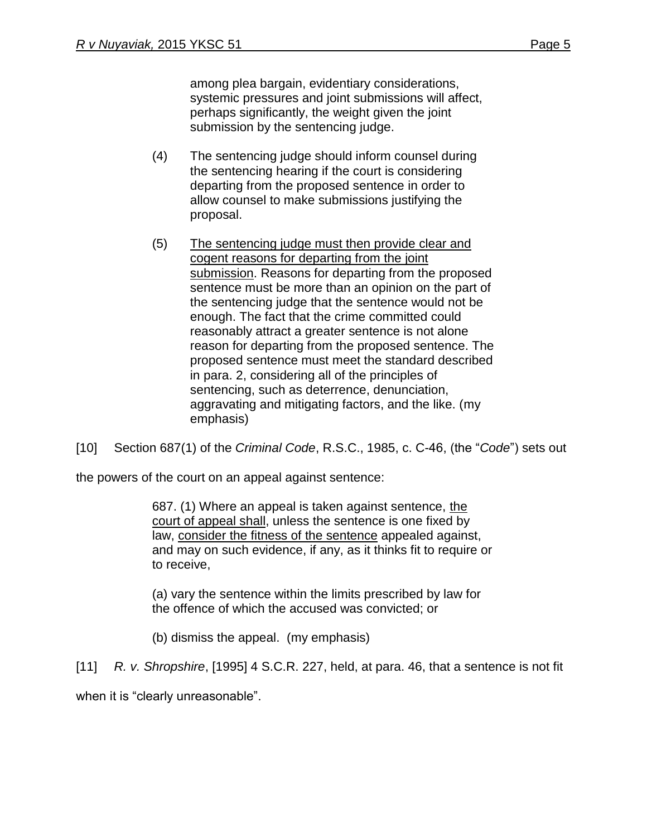among plea bargain, evidentiary considerations, systemic pressures and joint submissions will affect, perhaps significantly, the weight given the joint submission by the sentencing judge.

- (4) The sentencing judge should inform counsel during the sentencing hearing if the court is considering departing from the proposed sentence in order to allow counsel to make submissions justifying the proposal.
- (5) The sentencing judge must then provide clear and cogent reasons for departing from the joint submission. Reasons for departing from the proposed sentence must be more than an opinion on the part of the sentencing judge that the sentence would not be enough. The fact that the crime committed could reasonably attract a greater sentence is not alone reason for departing from the proposed sentence. The proposed sentence must meet the standard described in para. 2, considering all of the principles of sentencing, such as deterrence, denunciation, aggravating and mitigating factors, and the like. (my emphasis)

[10] Section 687(1) of the *Criminal Code*, R.S.C., 1985, c. C-46, (the "*Code*") sets out

the powers of the court on an appeal against sentence:

687. (1) Where an appeal is taken against sentence, the court of appeal shall, unless the sentence is one fixed by law, consider the fitness of the sentence appealed against, and may on such evidence, if any, as it thinks fit to require or to receive,

(a) vary the sentence within the limits prescribed by law for the offence of which the accused was convicted; or

(b) dismiss the appeal. (my emphasis)

[11] *R. v. Shropshire*, [1995] 4 S.C.R. 227, held, at para. 46, that a sentence is not fit

when it is "clearly unreasonable".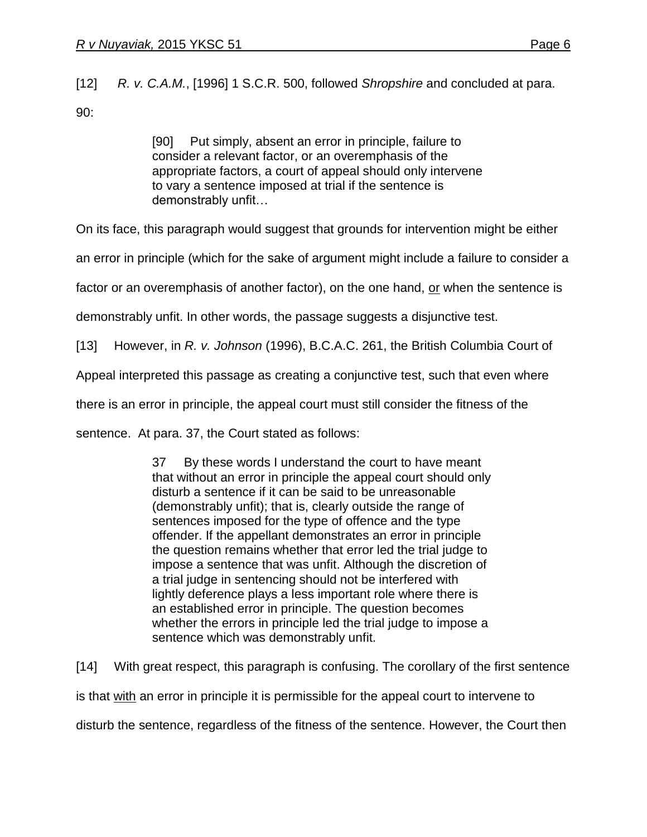[12] *R. v. C.A.M.*, [1996] 1 S.C.R. 500, followed *Shropshire* and concluded at para.

90:

[90] Put simply, absent an error in principle, failure to consider a relevant factor, or an overemphasis of the appropriate factors, a court of appeal should only intervene to vary a sentence imposed at trial if the sentence is demonstrably unfit…

On its face, this paragraph would suggest that grounds for intervention might be either

an error in principle (which for the sake of argument might include a failure to consider a

factor or an overemphasis of another factor), on the one hand, or when the sentence is

demonstrably unfit. In other words, the passage suggests a disjunctive test.

[13] However, in *R. v. Johnson* (1996), B.C.A.C. 261, the British Columbia Court of

Appeal interpreted this passage as creating a conjunctive test, such that even where

there is an error in principle, the appeal court must still consider the fitness of the

sentence. At para. 37, the Court stated as follows:

37 By these words I understand the court to have meant that without an error in principle the appeal court should only disturb a sentence if it can be said to be unreasonable (demonstrably unfit); that is, clearly outside the range of sentences imposed for the type of offence and the type offender. If the appellant demonstrates an error in principle the question remains whether that error led the trial judge to impose a sentence that was unfit. Although the discretion of a trial judge in sentencing should not be interfered with lightly deference plays a less important role where there is an established error in principle. The question becomes whether the errors in principle led the trial judge to impose a sentence which was demonstrably unfit.

[14] With great respect, this paragraph is confusing. The corollary of the first sentence is that with an error in principle it is permissible for the appeal court to intervene to disturb the sentence, regardless of the fitness of the sentence. However, the Court then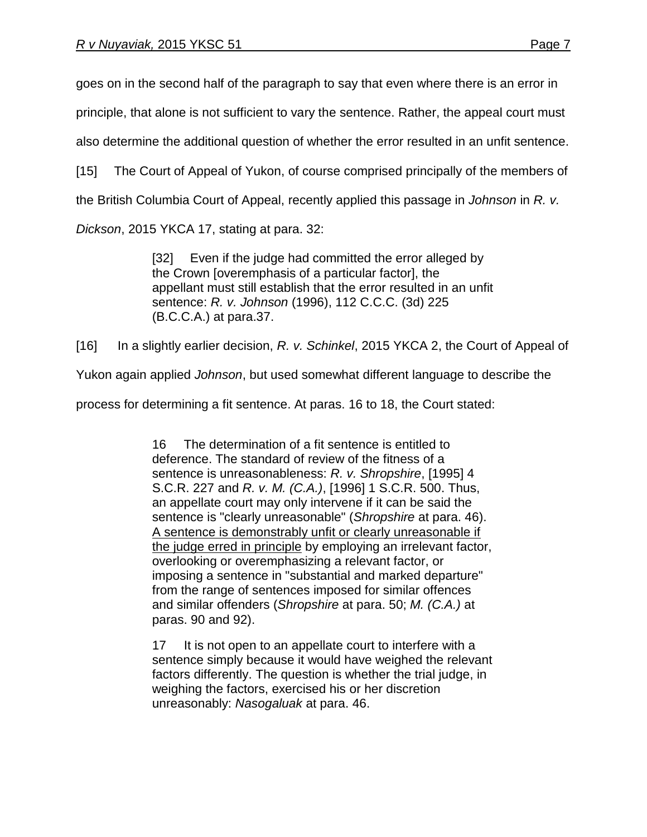goes on in the second half of the paragraph to say that even where there is an error in

principle, that alone is not sufficient to vary the sentence. Rather, the appeal court must

also determine the additional question of whether the error resulted in an unfit sentence.

[15] The Court of Appeal of Yukon, of course comprised principally of the members of

the British Columbia Court of Appeal, recently applied this passage in *Johnson* in *R. v.*

*Dickson*, 2015 YKCA 17, stating at para. 32:

[32] Even if the judge had committed the error alleged by the Crown [overemphasis of a particular factor], the appellant must still establish that the error resulted in an unfit sentence: *R. v. Johnson* (1996), 112 C.C.C. (3d) 225 (B.C.C.A.) at para.37.

[16] In a slightly earlier decision, *R. v. Schinkel*, 2015 YKCA 2, the Court of Appeal of

Yukon again applied *Johnson*, but used somewhat different language to describe the

process for determining a fit sentence. At paras. 16 to 18, the Court stated:

16 The determination of a fit sentence is entitled to deference. The standard of review of the fitness of a sentence is unreasonableness: *R. v. Shropshire*, [\[1995\] 4](http://www.lexisnexis.com/ca/legal/search/runRemoteLink.do?A=0.8548819184546037&bct=A&service=citation&risb=21_T22872432107&langcountry=CA&linkInfo=F%23CA%23SCR%23vol%254%25sel1%251995%25page%25227%25year%251995%25sel2%254%25)  [S.C.R.](http://www.lexisnexis.com/ca/legal/search/runRemoteLink.do?A=0.8548819184546037&bct=A&service=citation&risb=21_T22872432107&langcountry=CA&linkInfo=F%23CA%23SCR%23vol%254%25sel1%251995%25page%25227%25year%251995%25sel2%254%25) 227 and *R. v. M. (C.A.)*, [\[1996\] 1 S.C.R. 500.](http://www.lexisnexis.com/ca/legal/search/runRemoteLink.do?A=0.4881569963227599&bct=A&service=citation&risb=21_T22872432107&langcountry=CA&linkInfo=F%23CA%23SCR%23vol%251%25sel1%251996%25page%25500%25year%251996%25sel2%251%25) Thus, an appellate court may only intervene if it can be said the sentence is "clearly unreasonable" (*Shropshire* at para. 46). A sentence is demonstrably unfit or clearly unreasonable if the judge erred in principle by employing an irrelevant factor, overlooking or overemphasizing a relevant factor, or imposing a sentence in "substantial and marked departure" from the range of sentences imposed for similar offences and similar offenders (*Shropshire* at para. 50; *M. (C.A.)* at paras. 90 and 92).

17 It is not open to an appellate court to interfere with a sentence simply because it would have weighed the relevant factors differently. The question is whether the trial judge, in weighing the factors, exercised his or her discretion unreasonably: *Nasogaluak* at para. 46.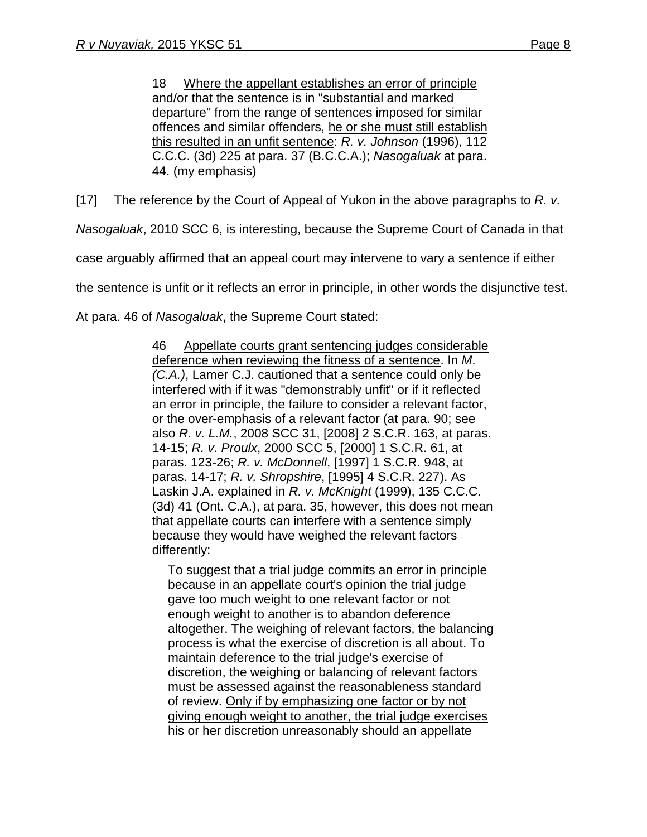18 Where the appellant establishes an error of principle and/or that the sentence is in "substantial and marked departure" from the range of sentences imposed for similar offences and similar offenders, he or she must still establish this resulted in an unfit sentence: *R. v. Johnson* [\(1996\), 112](http://www.lexisnexis.com/ca/legal/search/runRemoteLink.do?A=0.2045983637517782&bct=A&service=citation&risb=21_T22872432107&langcountry=CA&linkInfo=F%23CA%23CCC3%23vol%25112%25sel1%251996%25page%25225%25year%251996%25sel2%25112%25decisiondate%251996%25)  [C.C.C. \(3d\) 225](http://www.lexisnexis.com/ca/legal/search/runRemoteLink.do?A=0.2045983637517782&bct=A&service=citation&risb=21_T22872432107&langcountry=CA&linkInfo=F%23CA%23CCC3%23vol%25112%25sel1%251996%25page%25225%25year%251996%25sel2%25112%25decisiondate%251996%25) at para. 37 (B.C.C.A.); *Nasogaluak* at para. 44. (my emphasis)

[17] The reference by the Court of Appeal of Yukon in the above paragraphs to *R. v.* 

*Nasogaluak*, 2010 SCC 6, is interesting, because the Supreme Court of Canada in that

case arguably affirmed that an appeal court may intervene to vary a sentence if either

the sentence is unfit or it reflects an error in principle, in other words the disjunctive test.

At para. 46 of *Nasogaluak*, the Supreme Court stated:

46 Appellate courts grant sentencing judges considerable deference when reviewing the fitness of a sentence. In *M*. *(C.A.)*, Lamer C.J. cautioned that a sentence could only be interfered with if it was "demonstrably unfit" or if it reflected an error in principle, the failure to consider a relevant factor, or the over-emphasis of a relevant factor (at para. 90; see also *R. v. L.M.*, [2008 SCC 31,](http://www.lexisnexis.com/ca/legal/search/runRemoteLink.do?A=0.8426631339431564&bct=A&service=citation&risb=21_T22872456020&langcountry=CA&linkInfo=F%23CA%23SCC%23sel1%252008%25year%252008%25decisiondate%252008%25onum%2531%25) [\[2008\] 2 S.C.R. 163,](http://www.lexisnexis.com/ca/legal/search/runRemoteLink.do?A=0.23194209973131552&bct=A&service=citation&risb=21_T22872456020&langcountry=CA&linkInfo=F%23CA%23SCR%23vol%252%25sel1%252008%25page%25163%25year%252008%25sel2%252%25) at paras. 14-15; *R. v. Proulx*, [2000 SCC 5,](http://www.lexisnexis.com/ca/legal/search/runRemoteLink.do?A=0.43228689941782417&bct=A&service=citation&risb=21_T22872456020&langcountry=CA&linkInfo=F%23CA%23SCC%23sel1%252000%25year%252000%25decisiondate%252000%25onum%255%25) [\[2000\] 1 S.C.R. 61,](http://www.lexisnexis.com/ca/legal/search/runRemoteLink.do?A=0.5121034669181388&bct=A&service=citation&risb=21_T22872456020&langcountry=CA&linkInfo=F%23CA%23SCR%23vol%251%25sel1%252000%25page%2561%25year%252000%25sel2%251%25) at paras. 123-26; *R. v. McDonnell*, [\[1997\] 1 S.C.R. 948,](http://www.lexisnexis.com/ca/legal/search/runRemoteLink.do?A=0.32373960227528775&bct=A&service=citation&risb=21_T22872456020&langcountry=CA&linkInfo=F%23CA%23SCR%23vol%251%25sel1%251997%25page%25948%25year%251997%25sel2%251%25) at paras. 14-17; *R. v. Shropshire*, [\[1995\] 4 S.C.R. 227\)](http://www.lexisnexis.com/ca/legal/search/runRemoteLink.do?A=0.7258352301884115&bct=A&service=citation&risb=21_T22872456020&langcountry=CA&linkInfo=F%23CA%23SCR%23vol%254%25sel1%251995%25page%25227%25year%251995%25sel2%254%25). As Laskin J.A. explained in *R. v. McKnight* [\(1999\), 135 C.C.C.](http://www.lexisnexis.com/ca/legal/search/runRemoteLink.do?A=0.22042699877812888&bct=A&service=citation&risb=21_T22872456020&langcountry=CA&linkInfo=F%23CA%23CCC3%23vol%25135%25sel1%251999%25page%2541%25year%251999%25sel2%25135%25decisiondate%251999%25)  [\(3d\) 41](http://www.lexisnexis.com/ca/legal/search/runRemoteLink.do?A=0.22042699877812888&bct=A&service=citation&risb=21_T22872456020&langcountry=CA&linkInfo=F%23CA%23CCC3%23vol%25135%25sel1%251999%25page%2541%25year%251999%25sel2%25135%25decisiondate%251999%25) (Ont. C.A.), at para. 35, however, this does not mean that appellate courts can interfere with a sentence simply because they would have weighed the relevant factors differently:

To suggest that a trial judge commits an error in principle because in an appellate court's opinion the trial judge gave too much weight to one relevant factor or not enough weight to another is to abandon deference altogether. The weighing of relevant factors, the balancing process is what the exercise of discretion is all about. To maintain deference to the trial judge's exercise of discretion, the weighing or balancing of relevant factors must be assessed against the reasonableness standard of review. Only if by emphasizing one factor or by not giving enough weight to another, the trial judge exercises his or her discretion unreasonably should an appellate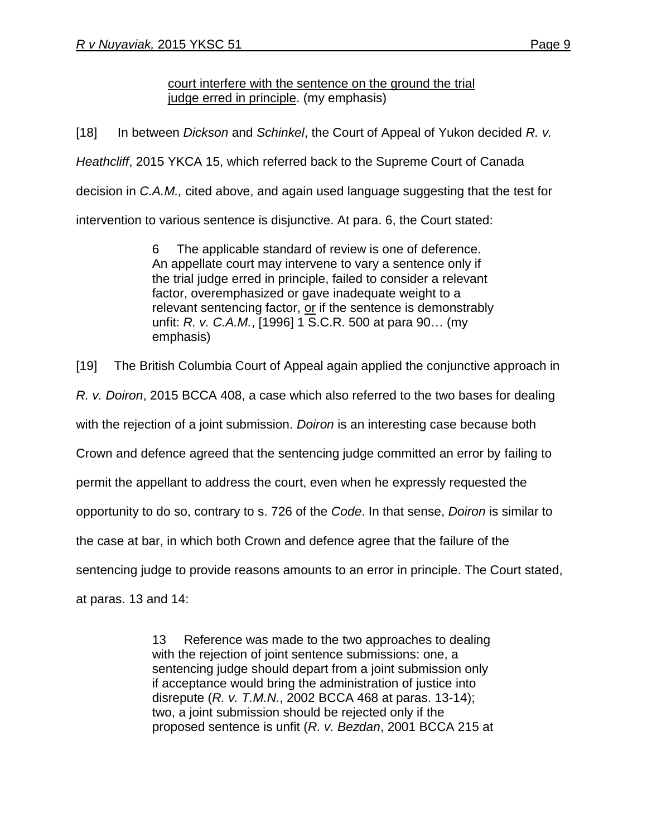court interfere with the sentence on the ground the trial iudge erred in principle. (my emphasis)

[18] In between *Dickson* and *Schinkel*, the Court of Appeal of Yukon decided *R. v. Heathcliff*, 2015 YKCA 15, which referred back to the Supreme Court of Canada decision in *C.A.M.,* cited above, and again used language suggesting that the test for intervention to various sentence is disjunctive. At para. 6, the Court stated:

> 6 The applicable standard of review is one of deference. An appellate court may intervene to vary a sentence only if the trial judge erred in principle, failed to consider a relevant factor, overemphasized or gave inadequate weight to a relevant sentencing factor, or if the sentence is demonstrably unfit: *R. v. C.A.M.*, [\[1996\] 1 S.C.R. 500](http://www.lexisnexis.com/ca/legal/search/runRemoteLink.do?A=0.7636594795817138&bct=A&service=citation&risb=21_T22872476736&langcountry=CA&linkInfo=F%23CA%23SCR%23vol%251%25sel1%251996%25page%25500%25year%251996%25sel2%251%25) at para 90… (my emphasis)

[19] The British Columbia Court of Appeal again applied the conjunctive approach in

*R. v. Doiron*, 2015 BCCA 408, a case which also referred to the two bases for dealing

with the rejection of a joint submission. *Doiron* is an interesting case because both

Crown and defence agreed that the sentencing judge committed an error by failing to

permit the appellant to address the court, even when he expressly requested the

opportunity to do so, contrary to s. 726 of the *Code*. In that sense, *Doiron* is similar to

the case at bar, in which both Crown and defence agree that the failure of the

sentencing judge to provide reasons amounts to an error in principle. The Court stated,

at paras. 13 and 14:

13 Reference was made to the two approaches to dealing with the rejection of joint sentence submissions: one, a sentencing judge should depart from a joint submission only if acceptance would bring the administration of justice into disrepute (*R. v. T.M.N.*, [2002 BCCA 468](http://www.lexisnexis.com/ca/legal/search/runRemoteLink.do?A=0.8120133358138802&bct=A&service=citation&risb=21_T22873005410&langcountry=CA&linkInfo=F%23CA%23BCCA%23sel1%252002%25year%252002%25decisiondate%252002%25onum%25468%25) at paras. 13-14); two, a joint submission should be rejected only if the proposed sentence is unfit (*R. v. Bezdan*, [2001 BCCA 215](http://www.lexisnexis.com/ca/legal/search/runRemoteLink.do?A=0.029258600090255937&bct=A&service=citation&risb=21_T22873005410&langcountry=CA&linkInfo=F%23CA%23BCCA%23sel1%252001%25year%252001%25decisiondate%252001%25onum%25215%25) at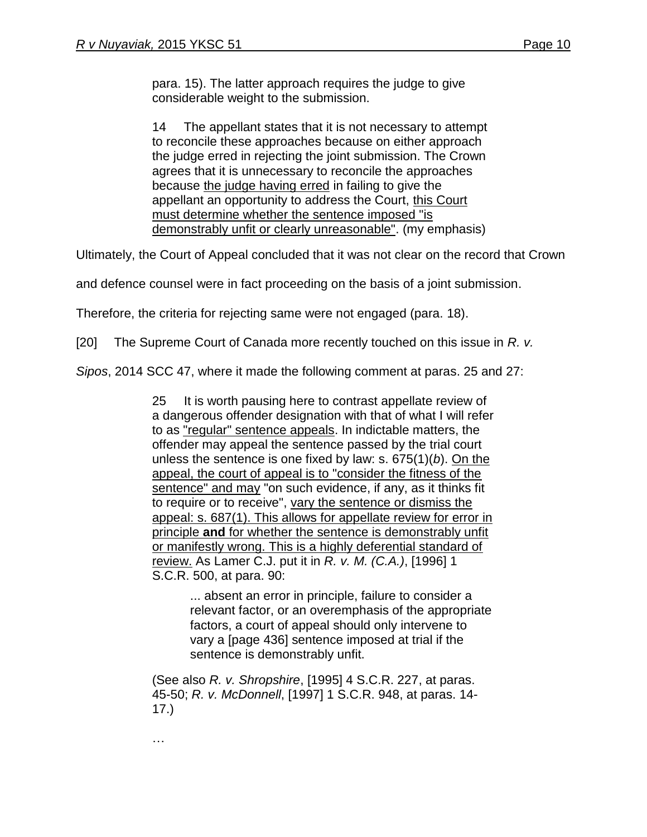para. 15). The latter approach requires the judge to give considerable weight to the submission.

14 The appellant states that it is not necessary to attempt to reconcile these approaches because on either approach the judge erred in rejecting the joint submission. The Crown agrees that it is unnecessary to reconcile the approaches because the judge having erred in failing to give the appellant an opportunity to address the Court, this Court must determine whether the sentence imposed "is demonstrably unfit or clearly unreasonable". (my emphasis)

Ultimately, the Court of Appeal concluded that it was not clear on the record that Crown

and defence counsel were in fact proceeding on the basis of a joint submission.

Therefore, the criteria for rejecting same were not engaged (para. 18).

[20] The Supreme Court of Canada more recently touched on this issue in *R. v.*

*Sipos*, 2014 SCC 47, where it made the following comment at paras. 25 and 27:

25 It is worth pausing here to contrast appellate review of a dangerous offender designation with that of what I will refer to as "regular" sentence appeals. In indictable matters, the offender may appeal the sentence passed by the trial court unless the sentence is one fixed by law: s. 675(1)(*b*). On the appeal, the court of appeal is to "consider the fitness of the sentence" and may "on such evidence, if any, as it thinks fit to require or to receive", vary the sentence or dismiss the appeal: s. 687(1). This allows for appellate review for error in principle **and** for whether the sentence is demonstrably unfit or manifestly wrong. This is a highly deferential standard of review. As Lamer C.J. put it in *R. v. M. (C.A.)*, [\[1996\] 1](http://www.lexisnexis.com/ca/legal/search/runRemoteLink.do?A=0.5820496524232364&bct=A&service=citation&risb=21_T22947140835&langcountry=CA&linkInfo=F%23CA%23SCR%23vol%251%25sel1%251996%25page%25500%25year%251996%25sel2%251%25)  [S.C.R. 500,](http://www.lexisnexis.com/ca/legal/search/runRemoteLink.do?A=0.5820496524232364&bct=A&service=citation&risb=21_T22947140835&langcountry=CA&linkInfo=F%23CA%23SCR%23vol%251%25sel1%251996%25page%25500%25year%251996%25sel2%251%25) at para. 90:

> ... absent an error in principle, failure to consider a relevant factor, or an overemphasis of the appropriate factors, a court of appeal should only intervene to vary a [page 436] sentence imposed at trial if the sentence is demonstrably unfit.

(See also *R. v. Shropshire*, [\[1995\] 4 S.C.R. 227,](http://www.lexisnexis.com/ca/legal/search/runRemoteLink.do?A=0.21429314814518918&bct=A&service=citation&risb=21_T22947140835&langcountry=CA&linkInfo=F%23CA%23SCR%23vol%254%25sel1%251995%25page%25227%25year%251995%25sel2%254%25) at paras. 45-50; *R. v. McDonnell*, [\[1997\] 1 S.C.R. 948,](http://www.lexisnexis.com/ca/legal/search/runRemoteLink.do?A=0.9355701143602914&bct=A&service=citation&risb=21_T22947140835&langcountry=CA&linkInfo=F%23CA%23SCR%23vol%251%25sel1%251997%25page%25948%25year%251997%25sel2%251%25) at paras. 14- 17.)

…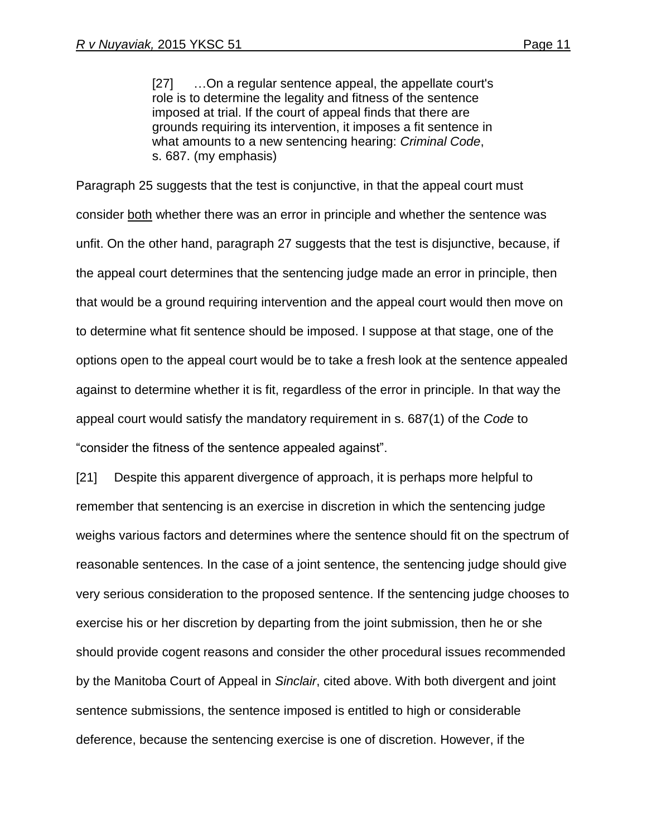[27] …On a regular sentence appeal, the appellate court's role is to determine the legality and fitness of the sentence imposed at trial. If the court of appeal finds that there are grounds requiring its intervention, it imposes a fit sentence in what amounts to a new sentencing hearing: *Criminal Code*, s. 687. (my emphasis)

Paragraph 25 suggests that the test is conjunctive, in that the appeal court must consider both whether there was an error in principle and whether the sentence was unfit. On the other hand, paragraph 27 suggests that the test is disjunctive, because, if the appeal court determines that the sentencing judge made an error in principle, then that would be a ground requiring intervention and the appeal court would then move on to determine what fit sentence should be imposed. I suppose at that stage, one of the options open to the appeal court would be to take a fresh look at the sentence appealed against to determine whether it is fit, regardless of the error in principle. In that way the appeal court would satisfy the mandatory requirement in s. 687(1) of the *Code* to "consider the fitness of the sentence appealed against".

[21] Despite this apparent divergence of approach, it is perhaps more helpful to remember that sentencing is an exercise in discretion in which the sentencing judge weighs various factors and determines where the sentence should fit on the spectrum of reasonable sentences. In the case of a joint sentence, the sentencing judge should give very serious consideration to the proposed sentence. If the sentencing judge chooses to exercise his or her discretion by departing from the joint submission, then he or she should provide cogent reasons and consider the other procedural issues recommended by the Manitoba Court of Appeal in *Sinclair*, cited above. With both divergent and joint sentence submissions, the sentence imposed is entitled to high or considerable deference, because the sentencing exercise is one of discretion. However, if the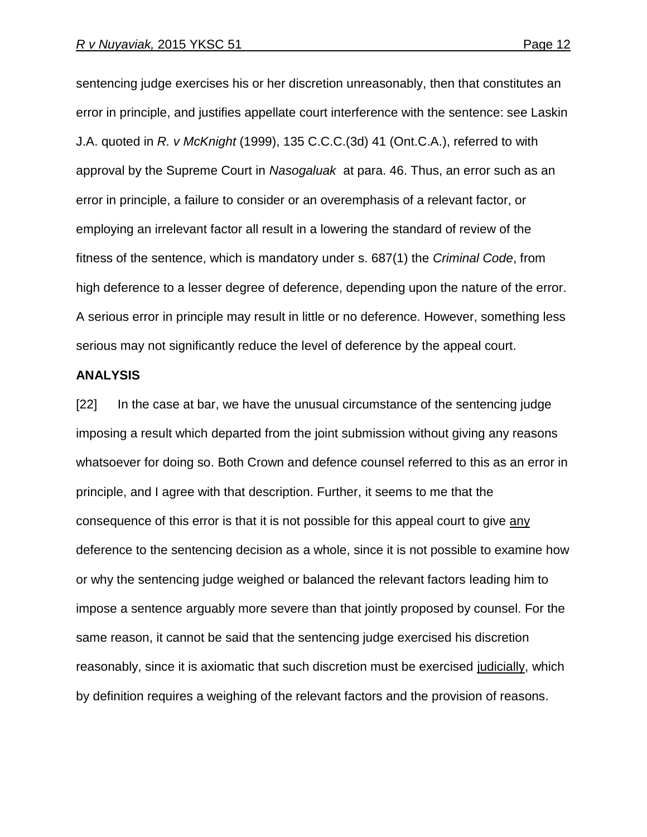sentencing judge exercises his or her discretion unreasonably, then that constitutes an error in principle, and justifies appellate court interference with the sentence: see Laskin J.A. quoted in *R. v McKnight* (1999), 135 C.C.C.(3d) 41 (Ont.C.A.), referred to with approval by the Supreme Court in *Nasogaluak* at para. 46. Thus, an error such as an error in principle, a failure to consider or an overemphasis of a relevant factor, or employing an irrelevant factor all result in a lowering the standard of review of the fitness of the sentence, which is mandatory under s. 687(1) the *Criminal Code*, from high deference to a lesser degree of deference, depending upon the nature of the error. A serious error in principle may result in little or no deference. However, something less serious may not significantly reduce the level of deference by the appeal court.

#### **ANALYSIS**

[22] In the case at bar, we have the unusual circumstance of the sentencing judge imposing a result which departed from the joint submission without giving any reasons whatsoever for doing so. Both Crown and defence counsel referred to this as an error in principle, and I agree with that description. Further, it seems to me that the consequence of this error is that it is not possible for this appeal court to give any deference to the sentencing decision as a whole, since it is not possible to examine how or why the sentencing judge weighed or balanced the relevant factors leading him to impose a sentence arguably more severe than that jointly proposed by counsel. For the same reason, it cannot be said that the sentencing judge exercised his discretion reasonably, since it is axiomatic that such discretion must be exercised judicially, which by definition requires a weighing of the relevant factors and the provision of reasons.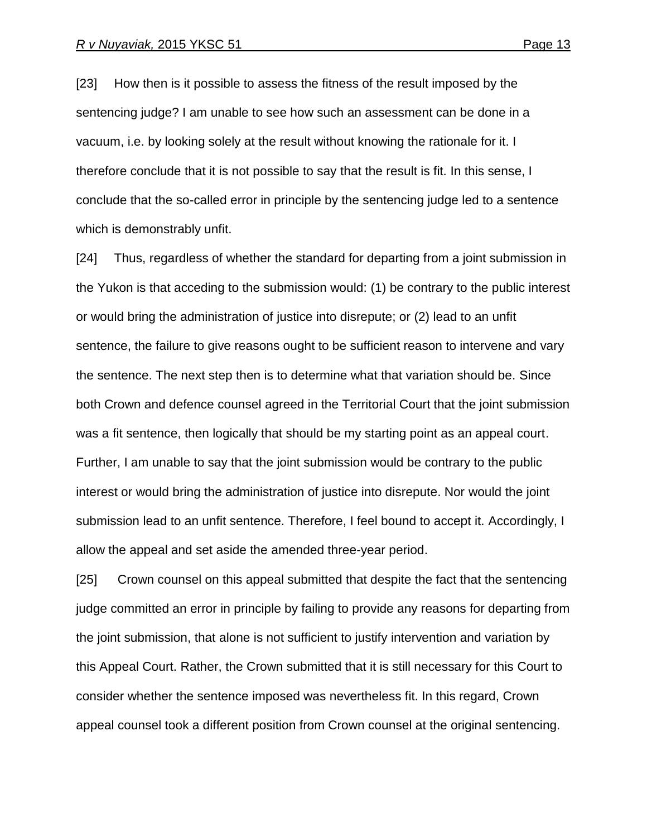[23] How then is it possible to assess the fitness of the result imposed by the sentencing judge? I am unable to see how such an assessment can be done in a vacuum, i.e. by looking solely at the result without knowing the rationale for it. I therefore conclude that it is not possible to say that the result is fit. In this sense, I conclude that the so-called error in principle by the sentencing judge led to a sentence which is demonstrably unfit.

[24] Thus, regardless of whether the standard for departing from a joint submission in the Yukon is that acceding to the submission would: (1) be contrary to the public interest or would bring the administration of justice into disrepute; or (2) lead to an unfit sentence, the failure to give reasons ought to be sufficient reason to intervene and vary the sentence. The next step then is to determine what that variation should be. Since both Crown and defence counsel agreed in the Territorial Court that the joint submission was a fit sentence, then logically that should be my starting point as an appeal court. Further, I am unable to say that the joint submission would be contrary to the public interest or would bring the administration of justice into disrepute. Nor would the joint submission lead to an unfit sentence. Therefore, I feel bound to accept it. Accordingly, I allow the appeal and set aside the amended three-year period.

[25] Crown counsel on this appeal submitted that despite the fact that the sentencing judge committed an error in principle by failing to provide any reasons for departing from the joint submission, that alone is not sufficient to justify intervention and variation by this Appeal Court. Rather, the Crown submitted that it is still necessary for this Court to consider whether the sentence imposed was nevertheless fit. In this regard, Crown appeal counsel took a different position from Crown counsel at the original sentencing.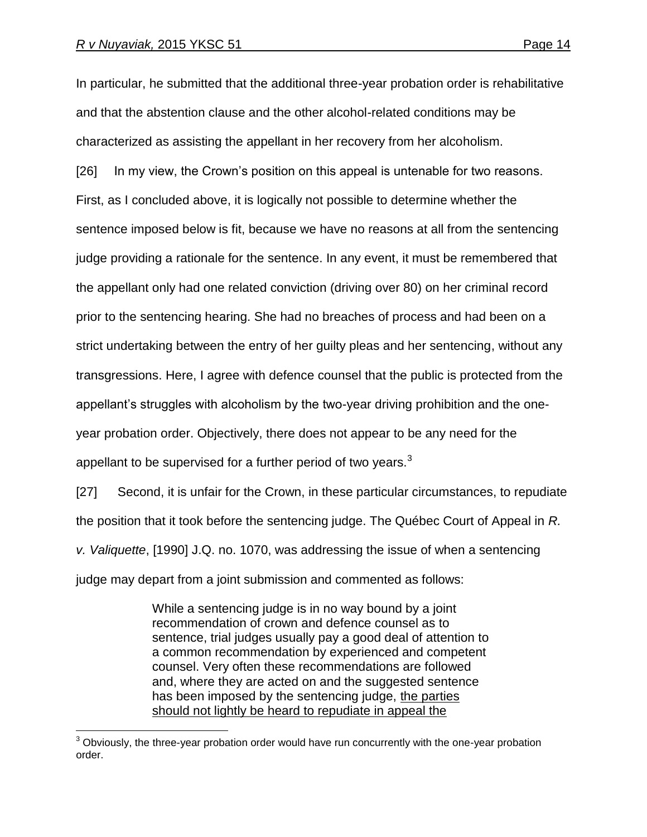$\overline{a}$ 

In particular, he submitted that the additional three-year probation order is rehabilitative and that the abstention clause and the other alcohol-related conditions may be characterized as assisting the appellant in her recovery from her alcoholism.

[26] In my view, the Crown's position on this appeal is untenable for two reasons. First, as I concluded above, it is logically not possible to determine whether the sentence imposed below is fit, because we have no reasons at all from the sentencing judge providing a rationale for the sentence. In any event, it must be remembered that the appellant only had one related conviction (driving over 80) on her criminal record prior to the sentencing hearing. She had no breaches of process and had been on a strict undertaking between the entry of her guilty pleas and her sentencing, without any transgressions. Here, I agree with defence counsel that the public is protected from the appellant's struggles with alcoholism by the two-year driving prohibition and the oneyear probation order. Objectively, there does not appear to be any need for the appellant to be supervised for a further period of two years. $3$ 

[27] Second, it is unfair for the Crown, in these particular circumstances, to repudiate the position that it took before the sentencing judge. The Québec Court of Appeal in *R. v. Valiquette*, [1990] J.Q. no. 1070, was addressing the issue of when a sentencing judge may depart from a joint submission and commented as follows:

> While a sentencing judge is in no way bound by a joint recommendation of crown and defence counsel as to sentence, trial judges usually pay a good deal of attention to a common recommendation by experienced and competent counsel. Very often these recommendations are followed and, where they are acted on and the suggested sentence has been imposed by the sentencing judge, the parties should not lightly be heard to repudiate in appeal the

 $3$  Obviously, the three-year probation order would have run concurrently with the one-year probation order.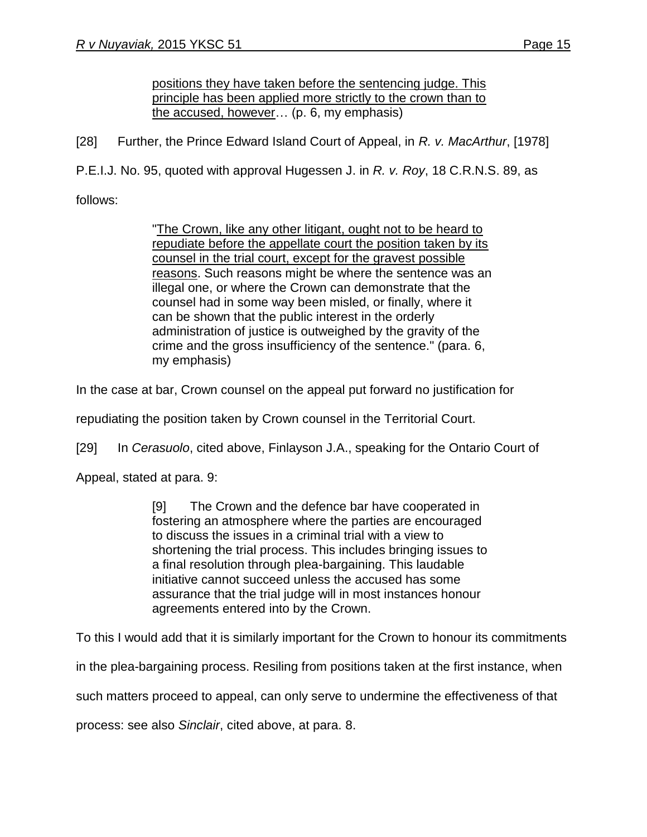positions they have taken before the sentencing judge. This principle has been applied more strictly to the crown than to the accused, however… (p. 6, my emphasis)

[28] Further, the Prince Edward Island Court of Appeal, in *R. v. MacArthur*, [1978]

P.E.I.J. No. 95, quoted with approval Hugessen J. in *R. v. Roy*, 18 C.R.N.S. 89, as

follows:

"The Crown, like any other litigant, ought not to be heard to repudiate before the appellate court the position taken by its counsel in the trial court, except for the gravest possible reasons. Such reasons might be where the sentence was an illegal one, or where the Crown can demonstrate that the counsel had in some way been misled, or finally, where it can be shown that the public interest in the orderly administration of justice is outweighed by the gravity of the crime and the gross insufficiency of the sentence." (para. 6, my emphasis)

In the case at bar, Crown counsel on the appeal put forward no justification for

repudiating the position taken by Crown counsel in the Territorial Court.

[29] In *Cerasuolo*, cited above, Finlayson J.A., speaking for the Ontario Court of

Appeal, stated at para. 9:

[9] The Crown and the defence bar have cooperated in fostering an atmosphere where the parties are encouraged to discuss the issues in a criminal trial with a view to shortening the trial process. This includes bringing issues to a final resolution through plea-bargaining. This laudable initiative cannot succeed unless the accused has some assurance that the trial judge will in most instances honour agreements entered into by the Crown.

To this I would add that it is similarly important for the Crown to honour its commitments

in the plea-bargaining process. Resiling from positions taken at the first instance, when

such matters proceed to appeal, can only serve to undermine the effectiveness of that

process: see also *Sinclair*, cited above, at para. 8.